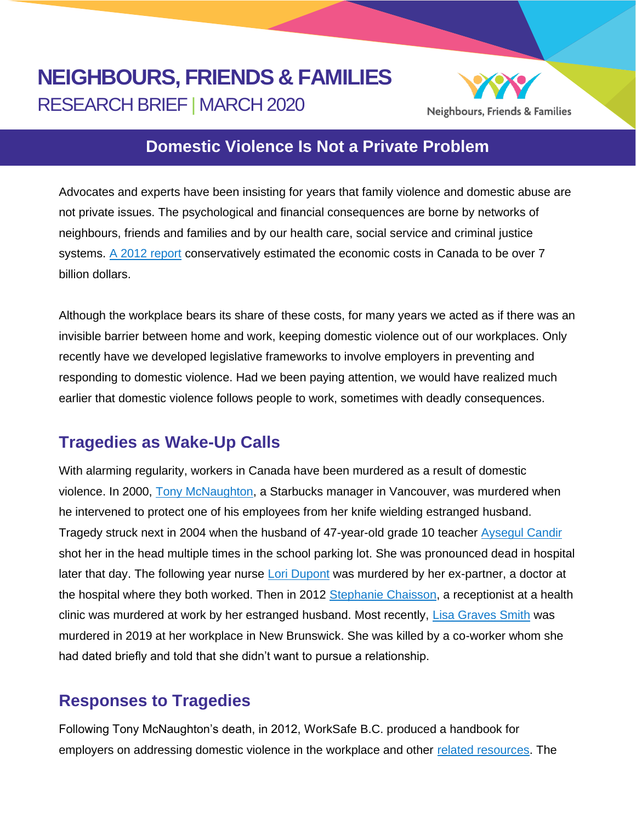# **NEIGHBOURS, FRIENDS & FAMILIES** RESEARCH BRIEF | MARCH 2020



## **Domestic Violence Is Not a Private Problem**

Advocates and experts have been insisting for years that family violence and domestic abuse are not private issues. The psychological and financial consequences are borne by networks of neighbours, friends and families and by our health care, social service and criminal justice systems. [A 2012 report](https://www.justice.gc.ca/eng/rp-pr/cj-jp/fv-vf/rr12_7/rr12_7.pdf) conservatively estimated the economic costs in Canada to be over 7 billion dollars.

Although the workplace bears its share of these costs, for many years we acted as if there was an invisible barrier between home and work, keeping domestic violence out of our workplaces. Only recently have we developed legislative frameworks to involve employers in preventing and responding to domestic violence. Had we been paying attention, we would have realized much earlier that domestic violence follows people to work, sometimes with deadly consequences.

## **Tragedies as Wake-Up Calls**

With alarming regularity, workers in Canada have been murdered as a result of domestic violence. In 2000, [Tony McNaughton,](https://stories.starbucks.ca/en/stories/2020/starbucks-hero-tony-mcnaughton/) a Starbucks manager in Vancouver, was murdered when he intervened to protect one of his employees from her knife wielding estranged husband. Tragedy struck next in 2004 when the husband of 47-year-old grade 10 teacher [Aysegul Candir](https://www.therecord.com/news-story/3073681-husband-guilty-of-murder-sentenced-to-life-in-prison/) shot her in the head multiple times in the school parking lot. She was pronounced dead in hospital later that day. The following year nurse [Lori Dupont](https://www.newswire.ca/news-releases/ontario-nurses-association-marks-10-years-since-lori-dupont-rn-murder-546727552.html) was murdered by her ex-partner, a doctor at the hospital where they both worked. Then in 2012 [Stephanie Chaisson,](https://www.cbc.ca/news/canada/newfoundland-labrador/lori-chaffey-nurse-workplace-violence-1.4895163) a receptionist at a health clinic was murdered at work by her estranged husband. Most recently, [Lisa Graves Smith](https://www.cbc.ca/news/canada/new-brunswick/death-review-committee-nb-1.5478065) was murdered in 2019 at her workplace in New Brunswick. She was killed by a co-worker whom she had dated briefly and told that she didn't want to pursue a relationship.

## **Responses to Tragedies**

Following Tony McNaughton's death, in 2012, WorkSafe B.C. produced a handbook for employers on addressing domestic violence in the workplace and other [related resources.](https://www.worksafebc.com/en/forms-resources#sort=%40fcomputeditemdatefield343%20descending&f:topic-facet=[Health%20%26%20Safety]&f:language-facet=[English]&tags=Domestic%20Violence%7C3d59d1ed41c745479a54d9bd2bdca6c5) The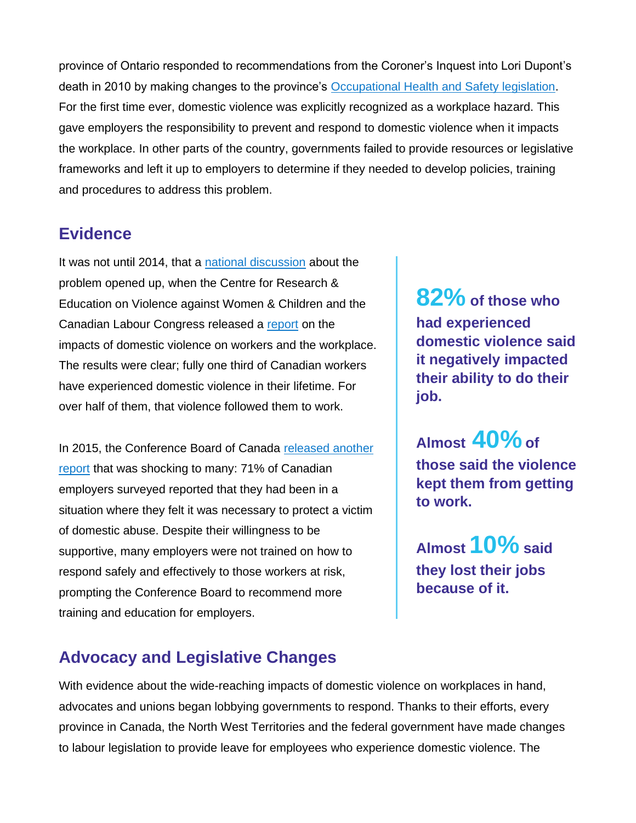province of Ontario responded to recommendations from the Coroner's Inquest into Lori Dupont's death in 2010 by making changes to the province's [Occupational Health and Safety legislation.](https://www.minkenemploymentlawyers.com/employment-law-issues/bill-168-ontarios-law-on-workplace-violence-and-harassment/) For the first time ever, domestic violence was explicitly recognized as a workplace hazard. This gave employers the responsibility to prevent and respond to domestic violence when it impacts the workplace. In other parts of the country, governments failed to provide resources or legislative frameworks and left it up to employers to determine if they needed to develop policies, training and procedures to address this problem.

#### **Evidence**

It was not until 2014, that a [national discussion](https://www.fims.uwo.ca/news/2014/results_of_national_survey_on_impact_of_domestic_violence_in_workplace_unveiled.html) about the problem opened up, when the Centre for Research & Education on Violence against Women & Children and the Canadian Labour Congress released a [report](http://makeitourbusiness.ca/sites/makeitourbusiness.ca/files/DVWork_Survey_Report_2014_EN.pdf) on the impacts of domestic violence on workers and the workplace. The results were clear; fully one third of Canadian workers have experienced domestic violence in their lifetime. For over half of them, that violence followed them to work.

In 2015, the Conference Board of Canada [released another](https://www.conferenceboard.ca/press/newsrelease/15-11-25/From_Home_to_Office_Canadian_Workplaces_Are_Stepping_Up_to_Protect_Employees_Who_Are_Victims_Of_Domestic_Violence.aspx)  [report](https://www.conferenceboard.ca/press/newsrelease/15-11-25/From_Home_to_Office_Canadian_Workplaces_Are_Stepping_Up_to_Protect_Employees_Who_Are_Victims_Of_Domestic_Violence.aspx) that was shocking to many: 71% of Canadian employers surveyed reported that they had been in a situation where they felt it was necessary to protect a victim of domestic abuse. Despite their willingness to be supportive, many employers were not trained on how to respond safely and effectively to those workers at risk, prompting the Conference Board to recommend more training and education for employers.

**82% of those who had experienced domestic violence said it negatively impacted their ability to do their job.**

**Almost 40%of those said the violence kept them from getting to work.** 

**Almost 10% said they lost their jobs because of it.**

## **Advocacy and Legislative Changes**

With evidence about the wide-reaching impacts of domestic violence on workplaces in hand, advocates and unions began lobbying governments to respond. Thanks to their efforts, every province in Canada, the North West Territories and the federal government have made changes to labour legislation to provide leave for employees who experience domestic violence. The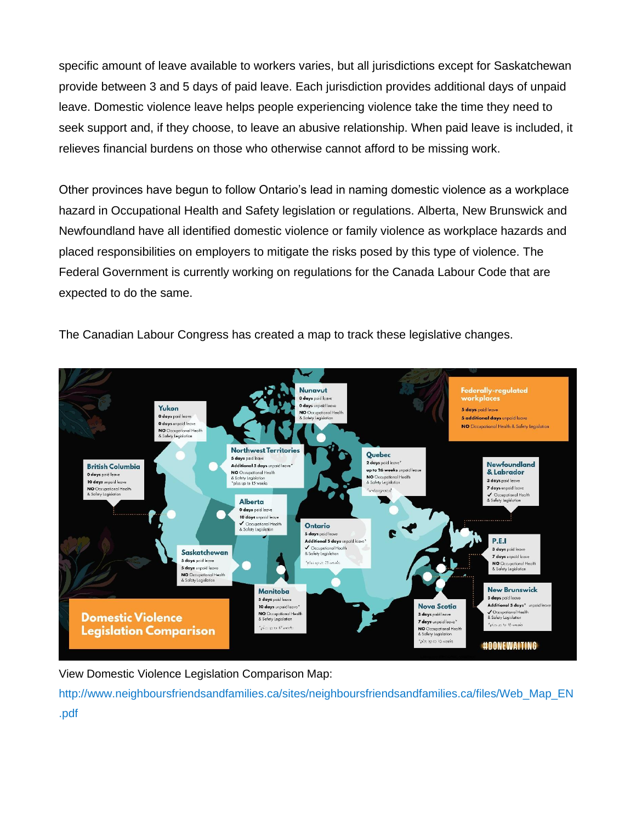specific amount of leave available to workers varies, but all jurisdictions except for Saskatchewan provide between 3 and 5 days of paid leave. Each jurisdiction provides additional days of unpaid leave. Domestic violence leave helps people experiencing violence take the time they need to seek support and, if they choose, to leave an abusive relationship. When paid leave is included, it relieves financial burdens on those who otherwise cannot afford to be missing work.

Other provinces have begun to follow Ontario's lead in naming domestic violence as a workplace hazard in Occupational Health and Safety legislation or regulations. Alberta, New Brunswick and Newfoundland have all identified domestic violence or family violence as workplace hazards and placed responsibilities on employers to mitigate the risks posed by this type of violence. The Federal Government is currently working on regulations for the Canada Labour Code that are expected to do the same.

The Canadian Labour Congress has created a map to track these legislative changes.



View Domestic Violence Legislation Comparison Map:

http://www.neighboursfriendsandfamilies.ca/sites/neighboursfriendsandfamilies.ca/files/Web\_Map\_EN .pdf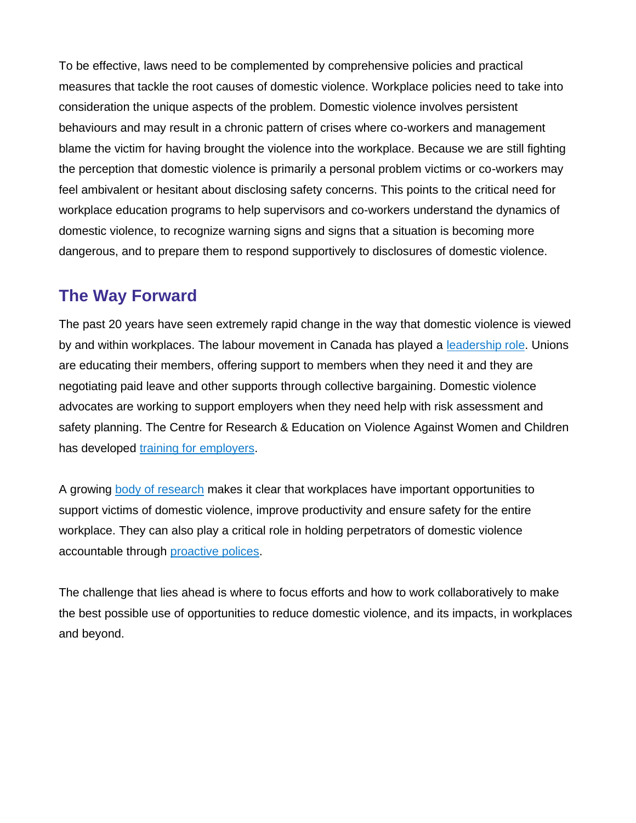To be effective, laws need to be complemented by comprehensive policies and practical measures that tackle the root causes of domestic violence. Workplace policies need to take into consideration the unique aspects of the problem. Domestic violence involves persistent behaviours and may result in a chronic pattern of crises where co-workers and management blame the victim for having brought the violence into the workplace. Because we are still fighting the perception that domestic violence is primarily a personal problem victims or co-workers may feel ambivalent or hesitant about disclosing safety concerns. This points to the critical need for workplace education programs to help supervisors and co-workers understand the dynamics of domestic violence, to recognize warning signs and signs that a situation is becoming more dangerous, and to prepare them to respond supportively to disclosures of domestic violence.

### **The Way Forward**

The past 20 years have seen extremely rapid change in the way that domestic violence is viewed by and within workplaces. The labour movement in Canada has played a [leadership role.](https://canadianlabour.ca/issues-research/domestic-violence-work/) Unions are educating their members, offering support to members when they need it and they are negotiating paid leave and other supports through collective bargaining. Domestic violence advocates are working to support employers when they need help with risk assessment and safety planning. The Centre for Research & Education on Violence Against Women and Children has developed [training for employers.](http://makeitourbusiness.ca/)

A growing [body of research](https://journals.sagepub.com/doi/full/10.1177/1524838019881746) makes it clear that workplaces have important opportunities to support victims of domestic violence, improve productivity and ensure safety for the entire workplace. They can also play a critical role in holding perpetrators of domestic violence accountable through [proactive polices.](http://dvatworknet.org/sites/dvatworknet.org/files/perpetrator_policy_template_%28final%29.pdf)

The challenge that lies ahead is where to focus efforts and how to work collaboratively to make the best possible use of opportunities to reduce domestic violence, and its impacts, in workplaces and beyond.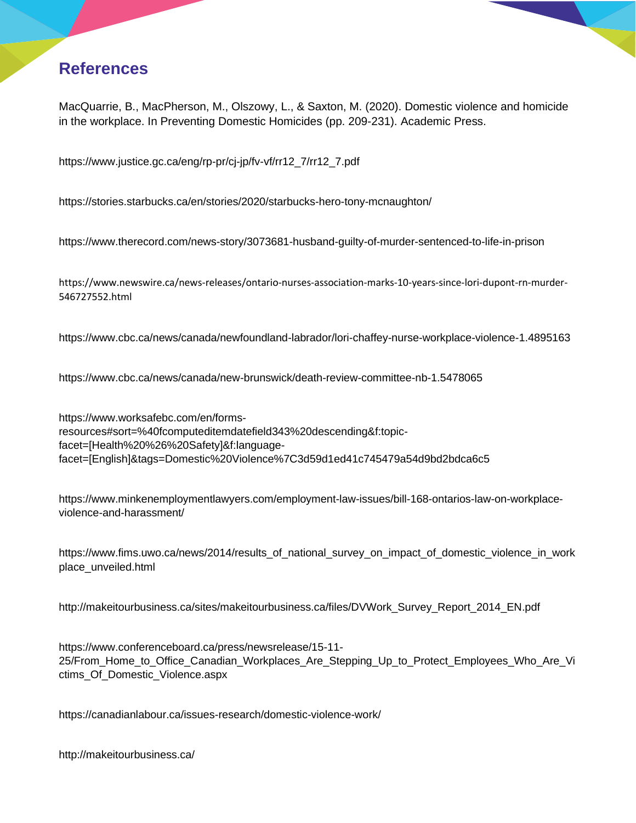## **References**

MacQuarrie, B., MacPherson, M., Olszowy, L., & Saxton, M. (2020). Domestic violence and homicide in the workplace. In Preventing Domestic Homicides (pp. 209-231). Academic Press.

[https://www.justice.gc.ca/eng/rp-pr/cj-jp/fv-vf/rr12\\_7/rr12\\_7.pdf](https://www.justice.gc.ca/eng/rp-pr/cj-jp/fv-vf/rr12_7/rr12_7.pdf)

<https://stories.starbucks.ca/en/stories/2020/starbucks-hero-tony-mcnaughton/>

<https://www.therecord.com/news-story/3073681-husband-guilty-of-murder-sentenced-to-life-in-prison>

[https://www.newswire.ca/news-releases/ontario-nurses-association-marks-10-years-since-lori-dupont-rn-murder-](https://www.newswire.ca/news-releases/ontario-nurses-association-marks-10-years-since-lori-dupont-rn-murder-546727552.html)[546727552.html](https://www.newswire.ca/news-releases/ontario-nurses-association-marks-10-years-since-lori-dupont-rn-murder-546727552.html)

<https://www.cbc.ca/news/canada/newfoundland-labrador/lori-chaffey-nurse-workplace-violence-1.4895163>

<https://www.cbc.ca/news/canada/new-brunswick/death-review-committee-nb-1.5478065>

[https://www.worksafebc.com/en/forms](https://www.worksafebc.com/en/forms-resources#sort=%40fcomputeditemdatefield343%20descending&f:topic-facet=[Health%20%26%20Safety]&f:language-facet=[English]&tags=Domestic%20Violence%7C3d59d1ed41c745479a54d9bd2bdca6c5)[resources#sort=%40fcomputeditemdatefield343%20descending&f:topic](https://www.worksafebc.com/en/forms-resources#sort=%40fcomputeditemdatefield343%20descending&f:topic-facet=[Health%20%26%20Safety]&f:language-facet=[English]&tags=Domestic%20Violence%7C3d59d1ed41c745479a54d9bd2bdca6c5)[facet=\[Health%20%26%20Safety\]&f:language](https://www.worksafebc.com/en/forms-resources#sort=%40fcomputeditemdatefield343%20descending&f:topic-facet=[Health%20%26%20Safety]&f:language-facet=[English]&tags=Domestic%20Violence%7C3d59d1ed41c745479a54d9bd2bdca6c5)[facet=\[English\]&tags=Domestic%20Violence%7C3d59d1ed41c745479a54d9bd2bdca6c5](https://www.worksafebc.com/en/forms-resources#sort=%40fcomputeditemdatefield343%20descending&f:topic-facet=[Health%20%26%20Safety]&f:language-facet=[English]&tags=Domestic%20Violence%7C3d59d1ed41c745479a54d9bd2bdca6c5)

[https://www.minkenemploymentlawyers.com/employment-law-issues/bill-168-ontarios-law-on-workplace](https://www.minkenemploymentlawyers.com/employment-law-issues/bill-168-ontarios-law-on-workplace-violence-and-harassment/)[violence-and-harassment/](https://www.minkenemploymentlawyers.com/employment-law-issues/bill-168-ontarios-law-on-workplace-violence-and-harassment/)

[https://www.fims.uwo.ca/news/2014/results\\_of\\_national\\_survey\\_on\\_impact\\_of\\_domestic\\_violence\\_in\\_work](https://www.fims.uwo.ca/news/2014/results_of_national_survey_on_impact_of_domestic_violence_in_workplace_unveiled.html) [place\\_unveiled.html](https://www.fims.uwo.ca/news/2014/results_of_national_survey_on_impact_of_domestic_violence_in_workplace_unveiled.html)

[http://makeitourbusiness.ca/sites/makeitourbusiness.ca/files/DVWork\\_Survey\\_Report\\_2014\\_EN.pdf](http://makeitourbusiness.ca/sites/makeitourbusiness.ca/files/DVWork_Survey_Report_2014_EN.pdf)

[https://www.conferenceboard.ca/press/newsrelease/15-11-](https://www.conferenceboard.ca/press/newsrelease/15-11-25/From_Home_to_Office_Canadian_Workplaces_Are_Stepping_Up_to_Protect_Employees_Who_Are_Victims_Of_Domestic_Violence.aspx) [25/From\\_Home\\_to\\_Office\\_Canadian\\_Workplaces\\_Are\\_Stepping\\_Up\\_to\\_Protect\\_Employees\\_Who\\_Are\\_Vi](https://www.conferenceboard.ca/press/newsrelease/15-11-25/From_Home_to_Office_Canadian_Workplaces_Are_Stepping_Up_to_Protect_Employees_Who_Are_Victims_Of_Domestic_Violence.aspx) [ctims\\_Of\\_Domestic\\_Violence.aspx](https://www.conferenceboard.ca/press/newsrelease/15-11-25/From_Home_to_Office_Canadian_Workplaces_Are_Stepping_Up_to_Protect_Employees_Who_Are_Victims_Of_Domestic_Violence.aspx)

<https://canadianlabour.ca/issues-research/domestic-violence-work/>

<http://makeitourbusiness.ca/>